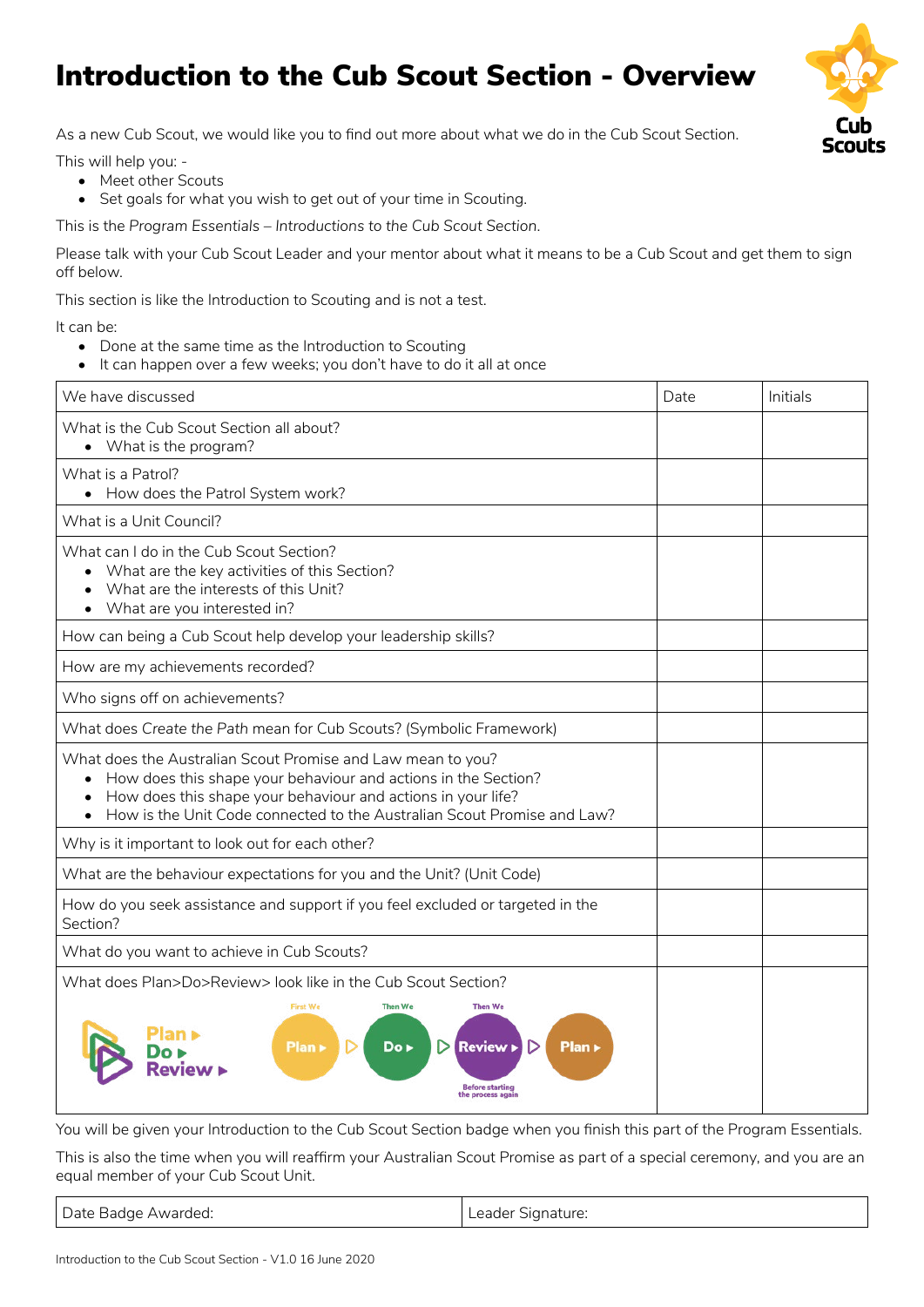## Introduction to the Cub Scout Section - Overview

As a new Cub Scout, we would like you to find out more about what we do in the Cub Scout Section.

This will help you: -

- Meet other Scouts
- Set goals for what you wish to get out of your time in Scouting.

This is the *Program Essentials – Introductions to the Cub Scout Section*.

Please talk with your Cub Scout Leader and your mentor about what it means to be a Cub Scout and get them to sign off below.

This section is like the Introduction to Scouting and is not a test.

It can be:

- Done at the same time as the Introduction to Scouting
- It can happen over a few weeks; you don't have to do it all at once

| We have discussed                                                                                                                                                                                                                                                                                  | Date | Initials |
|----------------------------------------------------------------------------------------------------------------------------------------------------------------------------------------------------------------------------------------------------------------------------------------------------|------|----------|
| What is the Cub Scout Section all about?<br>• What is the program?                                                                                                                                                                                                                                 |      |          |
| What is a Patrol?<br>• How does the Patrol System work?                                                                                                                                                                                                                                            |      |          |
| What is a Unit Council?                                                                                                                                                                                                                                                                            |      |          |
| What can I do in the Cub Scout Section?<br>• What are the key activities of this Section?<br>What are the interests of this Unit?<br>What are you interested in?                                                                                                                                   |      |          |
| How can being a Cub Scout help develop your leadership skills?                                                                                                                                                                                                                                     |      |          |
| How are my achievements recorded?                                                                                                                                                                                                                                                                  |      |          |
| Who signs off on achievements?                                                                                                                                                                                                                                                                     |      |          |
| What does Create the Path mean for Cub Scouts? (Symbolic Framework)                                                                                                                                                                                                                                |      |          |
| What does the Australian Scout Promise and Law mean to you?<br>How does this shape your behaviour and actions in the Section?<br>$\bullet$<br>How does this shape your behaviour and actions in your life?<br>How is the Unit Code connected to the Australian Scout Promise and Law?<br>$\bullet$ |      |          |
| Why is it important to look out for each other?                                                                                                                                                                                                                                                    |      |          |
| What are the behaviour expectations for you and the Unit? (Unit Code)                                                                                                                                                                                                                              |      |          |
| How do you seek assistance and support if you feel excluded or targeted in the<br>Section?                                                                                                                                                                                                         |      |          |
| What do you want to achieve in Cub Scouts?                                                                                                                                                                                                                                                         |      |          |
| What does Plan>Do>Review> look like in the Cub Scout Section?                                                                                                                                                                                                                                      |      |          |
| <b>First We</b><br><b>Then We</b><br><b>Then We</b><br>Plan ><br>$Do \triangleright$<br><b>Review</b><br>Plan »<br>▷<br>Before startino<br>process aga                                                                                                                                             |      |          |

You will be given your Introduction to the Cub Scout Section badge when you finish this part of the Program Essentials.

This is also the time when you will reaffirm your Australian Scout Promise as part of a special ceremony, and you are an equal member of your Cub Scout Unit.

Date Badge Awarded: Leader Signature: